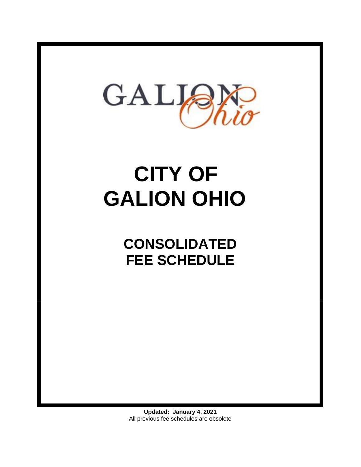

# **CITY OF GALION OHIO**

**CONSOLIDATED FEE SCHEDULE**

**Updated: January 4, 2021** All previous fee schedules are obsolete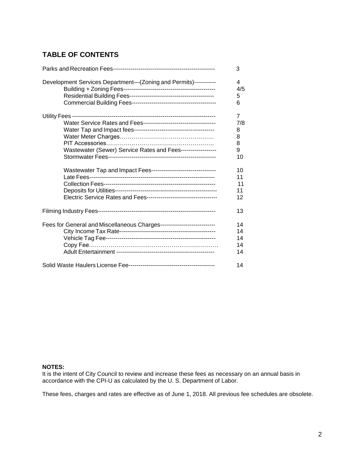# **TABLE OF CONTENTS**

|                                                                        | 3   |
|------------------------------------------------------------------------|-----|
| Development Services Department-(Zoning and Permits)-----------        | 4   |
|                                                                        | 4/5 |
|                                                                        | 5   |
|                                                                        | 6   |
|                                                                        | 7   |
|                                                                        | 7/8 |
|                                                                        | 8   |
|                                                                        | 8   |
|                                                                        | 8   |
| Wastewater (Sewer) Service Rates and Fees------------------            | 9   |
|                                                                        | 10  |
| Wastewater Tap and Impact Fees---------------------------------        | 10  |
|                                                                        | 11  |
|                                                                        | 11  |
|                                                                        | 11  |
|                                                                        | 12  |
|                                                                        | 13  |
| Fees for General and Miscellaneous Charges---------------------------- | 14  |
|                                                                        | 14  |
|                                                                        | 14  |
|                                                                        | 14  |
|                                                                        | 14  |
|                                                                        | 14  |

#### **NOTES:**

It is the intent of City Council to review and increase these fees as necessary on an annual basis in accordance with the CPI-U as calculated by the U. S. Department of Labor.

These fees, charges and rates are effective as of June 1, 2018. All previous fee schedules are obsolete.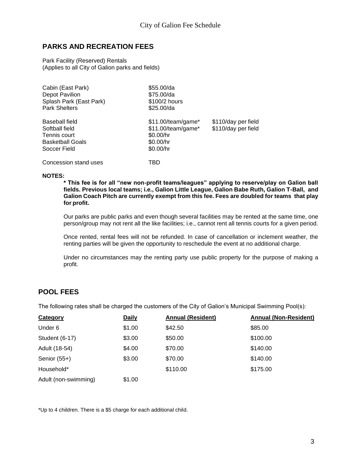# <span id="page-2-0"></span>**PARKS AND RECREATION FEES**

Park Facility (Reserved) Rentals (Applies to all City of Galion parks and fields)

| Cabin (East Park)<br>Depot Pavilion<br>Splash Park (East Park)<br><b>Park Shelters</b>      | \$55.00/da<br>\$75.00/da<br>\$100/2 hours<br>$$25.00$ /da                         |                                            |
|---------------------------------------------------------------------------------------------|-----------------------------------------------------------------------------------|--------------------------------------------|
| Baseball field<br>Softball field<br>Tennis court<br><b>Basketball Goals</b><br>Soccer Field | $$11.00/team/game*$<br>$$11.00/team/game*$<br>\$0.00/hr<br>\$0.00/hr<br>\$0.00/hr | \$110/day per field<br>\$110/day per field |
| Concession stand uses                                                                       | TBD                                                                               |                                            |

#### **NOTES:**

**\* This fee is for all "new non-profit teams/leagues" applying to reserve/play on Galion ball fields. Previous local teams; i.e., Galion Little League, Galion Babe Ruth, Galion T-Ball, and Galion Coach Pitch are currently exempt from this fee. Fees are doubled for teams that play for profit.**

Our parks are public parks and even though several facilities may be rented at the same time, one person/group may not rent all the like facilities; i.e., cannot rent all tennis courts for a given period.

Once rented, rental fees will not be refunded. In case of cancellation or inclement weather, the renting parties will be given the opportunity to reschedule the event at no additional charge.

Under no circumstances may the renting party use public property for the purpose of making a profit.

# **POOL FEES**

The following rates shall be charged the customers of the City of Galion's Municipal Swimming Pool(s):

| Category             | <b>Daily</b> | <b>Annual (Resident)</b> | <b>Annual (Non-Resident)</b> |
|----------------------|--------------|--------------------------|------------------------------|
| Under 6              | \$1.00       | \$42.50                  | \$85.00                      |
| Student (6-17)       | \$3.00       | \$50.00                  | \$100.00                     |
| Adult (18-54)        | \$4.00       | \$70.00                  | \$140.00                     |
| Senior $(55+)$       | \$3.00       | \$70.00                  | \$140.00                     |
| Household*           |              | \$110.00                 | \$175.00                     |
| Adult (non-swimming) | \$1.00       |                          |                              |

\*Up to 4 children. There is a \$5 charge for each additional child.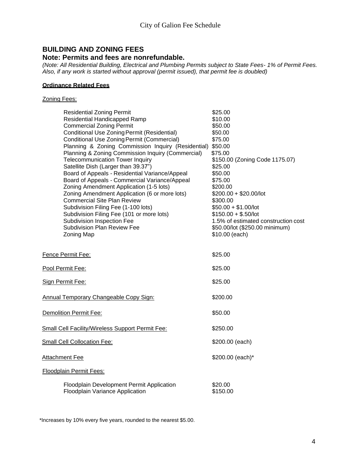# **BUILDING AND ZONING FEES**

#### **Note: Permits and fees are nonrefundable.**

*(Note: All Residential Building, Electrical and Plumbing Permits subject to State Fees- 1% of Permit Fees. Also, if any work is started without approval (permit issued), that permit fee is doubled)*

#### **Ordinance Related Fees**

#### Zoning Fees:

| <b>Residential Zoning Permit</b>                        | \$25.00                             |
|---------------------------------------------------------|-------------------------------------|
| <b>Residential Handicapped Ramp</b>                     | \$10.00                             |
| <b>Commercial Zoning Permit</b>                         | \$50.00                             |
| Conditional Use Zoning Permit (Residential)             | \$50.00                             |
| Conditional Use Zoning Permit (Commercial)              | \$75.00                             |
| Planning & Zoning Commission Inquiry (Residential)      | \$50.00                             |
| Planning & Zoning Commission Inquiry (Commercial)       | \$75.00                             |
| <b>Telecommunication Tower Inquiry</b>                  | \$150.00 (Zoning Code 1175.07)      |
| Satellite Dish (Larger than 39.37")                     | \$25.00                             |
| Board of Appeals - Residential Variance/Appeal          | \$50.00                             |
| Board of Appeals - Commercial Variance/Appeal           | \$75.00                             |
| Zoning Amendment Application (1-5 lots)                 | \$200.00                            |
| Zoning Amendment Application (6 or more lots)           | $$200.00 + $20.00/$ lot             |
| <b>Commercial Site Plan Review</b>                      | \$300.00                            |
| Subdivision Filing Fee (1-100 lots)                     | $$50.00 + $1.00/$ lot               |
| Subdivision Filing Fee (101 or more lots)               | $$150.00 + $.50/$ lot               |
| Subdivision Inspection Fee                              | 1.5% of estimated construction cost |
| <b>Subdivision Plan Review Fee</b>                      | \$50.00/lot (\$250.00 minimum)      |
| <b>Zoning Map</b>                                       | \$10.00 (each)                      |
|                                                         |                                     |
| Fence Permit Fee:                                       | \$25.00                             |
| Pool Permit Fee:                                        | \$25.00                             |
|                                                         |                                     |
| Sign Permit Fee:                                        | \$25.00                             |
|                                                         |                                     |
| <b>Annual Temporary Changeable Copy Sign:</b>           | \$200.00                            |
| <b>Demolition Permit Fee:</b>                           | \$50.00                             |
|                                                         |                                     |
| <b>Small Cell Facility/Wireless Support Permit Fee:</b> | \$250.00                            |
| Small Cell Collocation Fee:                             | \$200.00 (each)                     |
|                                                         |                                     |
| <b>Attachment Fee</b>                                   | \$200.00 (each)*                    |
| Floodplain Permit Fees:                                 |                                     |
|                                                         |                                     |
| Floodplain Development Permit Application               | \$20.00                             |
| Floodplain Variance Application                         | \$150.00                            |

\*Increases by 10% every five years, rounded to the nearest \$5.00.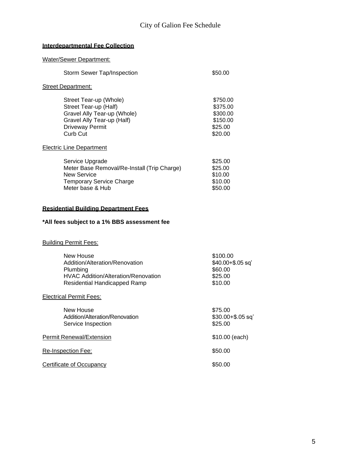# **Interdepartmental Fee Collection**

| <b>Water/Sewer Department:</b>                                                                                                                     |                                                                    |
|----------------------------------------------------------------------------------------------------------------------------------------------------|--------------------------------------------------------------------|
| <b>Storm Sewer Tap/Inspection</b>                                                                                                                  | \$50.00                                                            |
| <b>Street Department:</b>                                                                                                                          |                                                                    |
| Street Tear-up (Whole)<br>Street Tear-up (Half)<br>Gravel Ally Tear-up (Whole)<br>Gravel Ally Tear-up (Half)<br><b>Driveway Permit</b><br>Curb Cut | \$750.00<br>\$375.00<br>\$300.00<br>\$150.00<br>\$25.00<br>\$20.00 |
| <b>Electric Line Department</b>                                                                                                                    |                                                                    |
| Service Upgrade<br>Meter Base Removal/Re-Install (Trip Charge)<br><b>New Service</b><br><b>Temporary Service Charge</b><br>Meter base & Hub        | \$25.00<br>\$25.00<br>\$10.00<br>\$10.00<br>\$50.00                |
| <b>Residential Building Department Fees</b>                                                                                                        |                                                                    |
| *All fees subject to a 1% BBS assessment fee                                                                                                       |                                                                    |
| <b>Building Permit Fees:</b>                                                                                                                       |                                                                    |
| New House<br>Addition/Alteration/Renovation<br>Plumbing<br><b>HVAC Addition/Alteration/Renovation</b><br><b>Residential Handicapped Ramp</b>       | \$100.00<br>$$40.00 + $.05$ sq'<br>\$60.00<br>\$25.00<br>\$10.00   |
| <b>Electrical Permit Fees:</b>                                                                                                                     |                                                                    |
| <b>New House</b><br>Addition/Alteration/Renovation<br>Service Inspection                                                                           | \$75.00<br>$$30.00 + $.05$ sq'<br>\$25.00                          |
| <b>Permit Renewal/Extension</b>                                                                                                                    | \$10.00 (each)                                                     |
| Re-Inspection Fee:                                                                                                                                 | \$50.00                                                            |
| <b>Certificate of Occupancy</b>                                                                                                                    | \$50.00                                                            |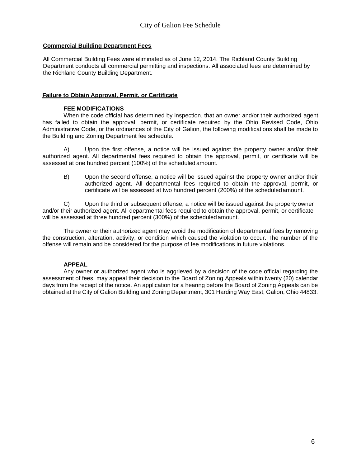#### **Commercial Building Department Fees**

All Commercial Building Fees were eliminated as of June 12, 2014. The Richland County Building Department conducts all commercial permitting and inspections. All associated fees are determined by the Richland County Building Department.

#### **Failure to Obtain Approval, Permit, or Certificate**

#### **FEE MODIFICATIONS**

When the code official has determined by inspection, that an owner and/or their authorized agent has failed to obtain the approval, permit, or certificate required by the Ohio Revised Code, Ohio Administrative Code, or the ordinances of the City of Galion, the following modifications shall be made to the Building and Zoning Department fee schedule.

A) Upon the first offense, a notice will be issued against the property owner and/or their authorized agent. All departmental fees required to obtain the approval, permit, or certificate will be assessed at one hundred percent (100%) of the scheduled amount.

B) Upon the second offense, a notice will be issued against the property owner and/or their authorized agent. All departmental fees required to obtain the approval, permit, or certificate will be assessed at two hundred percent (200%) of the scheduledamount.

C) Upon the third or subsequent offense, a notice will be issued against the property owner and/or their authorized agent. All departmental fees required to obtain the approval, permit, or certificate will be assessed at three hundred percent (300%) of the scheduledamount.

The owner or their authorized agent may avoid the modification of departmental fees by removing the construction, alteration, activity, or condition which caused the violation to occur. The number of the offense will remain and be considered for the purpose of fee modifications in future violations.

#### **APPEAL**

Any owner or authorized agent who is aggrieved by a decision of the code official regarding the assessment of fees, may appeal their decision to the Board of Zoning Appeals within twenty (20) calendar days from the receipt of the notice. An application for a hearing before the Board of Zoning Appeals can be obtained at the City of Galion Building and Zoning Department, 301 Harding Way East, Galion, Ohio 44833.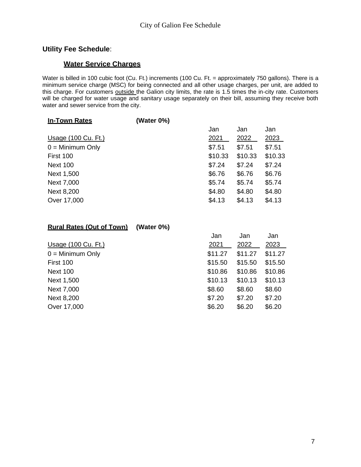# **Utility Fee Schedule**:

# **Water Service Charges**

Water is billed in 100 cubic foot (Cu. Ft.) increments (100 Cu. Ft. = approximately 750 gallons). There is a minimum service charge (MSC) for being connected and all other usage charges, per unit, are added to this charge. For customers outside the Galion city limits, the rate is 1.5 times the in-city rate. Customers will be charged for water usage and sanitary usage separately on their bill, assuming they receive both water and sewer service from the city.

| <b>In-Town Rates</b> | (Water 0%) |         |         |         |
|----------------------|------------|---------|---------|---------|
|                      |            | Jan     | Jan     | Jan     |
| Usage (100 Cu. Ft.)  |            | 2021    | 2022    | 2023    |
| $0 =$ Minimum Only   |            | \$7.51  | \$7.51  | \$7.51  |
| First 100            |            | \$10.33 | \$10.33 | \$10.33 |
| <b>Next 100</b>      |            | \$7.24  | \$7.24  | \$7.24  |
| Next 1,500           |            | \$6.76  | \$6.76  | \$6.76  |
| Next 7,000           |            | \$5.74  | \$5.74  | \$5.74  |
| Next 8,200           |            | \$4.80  | \$4.80  | \$4.80  |
| Over 17,000          |            | \$4.13  | \$4.13  | \$4.13  |
|                      |            |         |         |         |

| <b>Rural Rates (Out of Town)</b> | (Water $0\%$ ) |         |         |         |
|----------------------------------|----------------|---------|---------|---------|
|                                  |                | Jan     | Jan     | Jan     |
| Usage (100 Cu. Ft.)              |                | 2021    | 2022    | 2023    |
| $0 =$ Minimum Only               |                | \$11.27 | \$11.27 | \$11.27 |
| First 100                        |                | \$15.50 | \$15.50 | \$15.50 |
| <b>Next 100</b>                  |                | \$10.86 | \$10.86 | \$10.86 |
| Next 1,500                       |                | \$10.13 | \$10.13 | \$10.13 |
| Next 7,000                       |                | \$8.60  | \$8.60  | \$8.60  |
| Next 8,200                       |                | \$7.20  | \$7.20  | \$7.20  |
| Over 17,000                      |                | \$6.20  | \$6.20  | \$6.20  |
|                                  |                |         |         |         |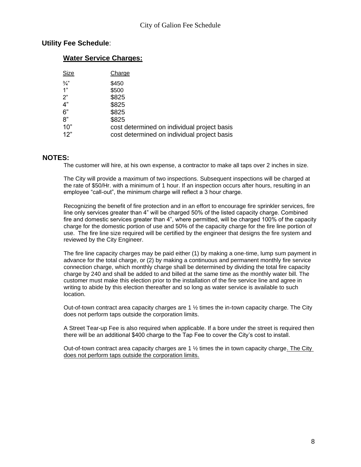## **Utility Fee Schedule**:

#### **Water Service Charges:**

| Size          | Charge                                      |
|---------------|---------------------------------------------|
| $\frac{3}{4}$ | \$450                                       |
| 1"            | \$500                                       |
| 2"            | \$825                                       |
| 4"            | \$825                                       |
| 6"            | \$825                                       |
| 8"            | \$825                                       |
| 10"           | cost determined on individual project basis |
| 12"           | cost determined on individual project basis |

#### **NOTES:**

The customer will hire, at his own expense, a contractor to make all taps over 2 inches in size.

The City will provide a maximum of two inspections. Subsequent inspections will be charged at the rate of \$50/Hr. with a minimum of 1 hour. If an inspection occurs after hours, resulting in an employee "call-out", the minimum charge will reflect a 3 hour charge.

Recognizing the benefit of fire protection and in an effort to encourage fire sprinkler services, fire line only services greater than 4" will be charged 50% of the listed capacity charge. Combined fire and domestic services greater than 4", where permitted, will be charged 100% of the capacity charge for the domestic portion of use and 50% of the capacity charge for the fire line portion of use. The fire line size required will be certified by the engineer that designs the fire system and reviewed by the City Engineer.

The fire line capacity charges may be paid either (1) by making a one-time, lump sum payment in advance for the total charge, or (2) by making a continuous and permanent monthly fire service connection charge, which monthly charge shall be determined by dividing the total fire capacity charge by 240 and shall be added to and billed at the same time as the monthly water bill. The customer must make this election prior to the installation of the fire service line and agree in writing to abide by this election thereafter and so long as water service is available to such location.

Out-of-town contract area capacity charges are  $1 \frac{1}{2}$  times the in-town capacity charge. The City does not perform taps outside the corporation limits.

A Street Tear-up Fee is also required when applicable. If a bore under the street is required then there will be an additional \$400 charge to the Tap Fee to cover the City's cost to install.

Out-of-town contract area capacity charges are  $1\frac{1}{2}$  times the in town capacity charge. The City does not perform taps outside the corporation limits.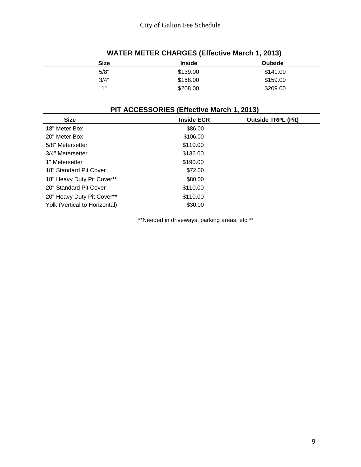| <b>Size</b> | <b>Inside</b> | <b>Outside</b> |  |
|-------------|---------------|----------------|--|
| 5/8"        | \$139.00      | \$141.00       |  |
| 3/4"        | \$158.00      | \$159.00       |  |
| 4"          | \$208.00      | \$209.00       |  |
|             |               |                |  |

# **WATER METER CHARGES (Effective March 1, 2013)**

# **PIT ACCESSORIES (Effective March 1, 2013)**

| <b>Size</b>                   | <b>Inside ECR</b> | <b>Outside TRPL (Pit)</b> |
|-------------------------------|-------------------|---------------------------|
| 18" Meter Box                 | \$86.00           |                           |
| 20" Meter Box                 | \$106.00          |                           |
| 5/8" Metersetter              | \$110.00          |                           |
| 3/4" Metersetter              | \$136.00          |                           |
| 1" Metersetter                | \$190.00          |                           |
| 18" Standard Pit Cover        | \$72.00           |                           |
| 18" Heavy Duty Pit Cover**    | \$80.00           |                           |
| 20" Standard Pit Cover        | \$110.00          |                           |
| 20" Heavy Duty Pit Cover**    | \$110.00          |                           |
| Yolk (Vertical to Horizontal) | \$30.00           |                           |

\*\*Needed in driveways, parking areas, etc.\*\*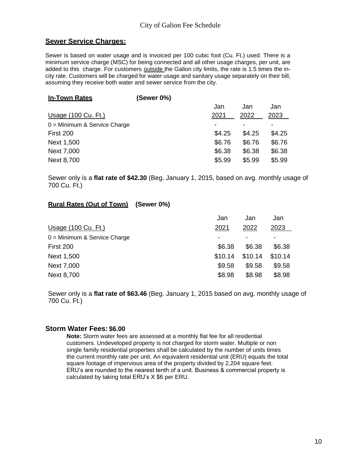# **Sewer Service Charges:**

Sewer is based on water usage and is invoiced per 100 cubic foot (Cu. Ft.) used. There is a minimum service charge (MSC) for being connected and all other usage charges, per unit, are added to this charge. For customers outside the Galion city limits, the rate is 1.5 times the incity rate. Customers will be charged for water usage and sanitary usage separately on their bill, assuming they receive both water and sewer service from the city.

| Jan    |
|--------|
|        |
| 2023   |
|        |
| \$4.25 |
| \$6.76 |
| \$6.38 |
| \$5.99 |
|        |

Sewer only is a **flat rate of \$42.30** (Beg. January 1, 2015, based on avg. monthly usage of 700 Cu. Ft.)

### **Rural Rates (Out of Town) (Sewer 0%)**

|                                | Jan     | Jan     | Jan     |
|--------------------------------|---------|---------|---------|
| Usage (100 Cu. Ft.)            | 2021    | 2022    | 2023    |
| $0 =$ Minimum & Service Charge |         |         |         |
| First 200                      | \$6.38  | \$6.38  | \$6.38  |
| Next 1,500                     | \$10.14 | \$10.14 | \$10.14 |
| Next 7,000                     | \$9.58  | \$9.58  | \$9.58  |
| <b>Next 8,700</b>              | \$8.98  | \$8.98  | \$8.98  |

Sewer only is a **flat rate of \$63.46** (Beg. January 1, 2015 based on avg. monthly usage of 700 Cu. Ft.)

#### **Storm Water Fees: \$6.00**

**Note:** Storm water fees are assessed at a monthly flat fee for all residential customers. Undeveloped property is not charged for storm water. Multiple or non single family residential properties shall be calculated by the number of units times the current monthly rate per unit. An equivalent residential unit (ERU) equals the total square footage of impervious area of the property divided by 2,204 square feet. ERU's are rounded to the nearest tenth of a unit. Business & commercial property is calculated by taking total ERU's X \$6 per ERU.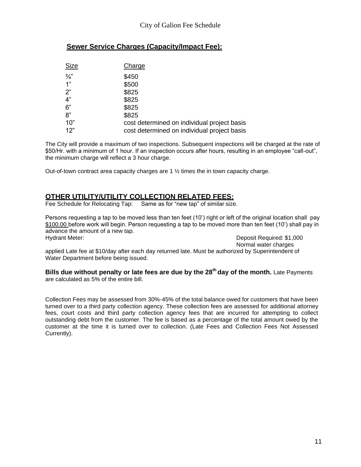# **Sewer Service Charges (Capacity/Impact Fee):**

| Size          | Charge                                      |
|---------------|---------------------------------------------|
| $\frac{3}{4}$ | \$450                                       |
| 1"            | \$500                                       |
| 2"            | \$825                                       |
| 4"            | \$825                                       |
| 6"            | \$825                                       |
| 8"            | \$825                                       |
| 10"           | cost determined on individual project basis |
| 12"           | cost determined on individual project basis |

The City will provide a maximum of two inspections. Subsequent inspections will be charged at the rate of \$50/Hr. with a minimum of 1 hour. If an inspection occurs after hours, resulting in an employee "call-out", the minimum charge will reflect a 3 hour charge.

Out-of-town contract area capacity charges are  $1\frac{1}{2}$  times the in town capacity charge.

# **OTHER UTILITY/UTILITY COLLECTION RELATED FEES:**

Fee Schedule for Relocating Tap: Same as for "new tap" of similar size.

Persons requesting a tap to be moved less than ten feet (10') right or left of the original location shall pay \$100.00 before work will begin. Person requesting a tap to be moved more than ten feet (10') shall pay in advance the amount of a new tap. Hydrant Meter: Deposit Required: \$1,000

Normal water charges

applied Late fee at \$10/day after each day returned late. Must be authorized by Superintendent of Water Department before being issued.

**Bills due without penalty or late fees are due by the 28th day of the month.** Late Payments are calculated as 5% of the entire bill.

Collection Fees may be assessed from 30%-45% of the total balance owed for customers that have been turned over to a third party collection agency. These collection fees are assessed for additional attorney fees, court costs and third party collection agency fees that are incurred for attempting to collect outstanding debt from the customer. The fee is based as a percentage of the total amount owed by the customer at the time it is turned over to collection. (Late Fees and Collection Fees Not Assessed Currently).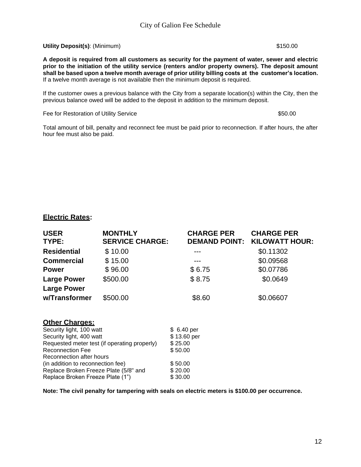**Utility Deposit(s)**: (Minimum) \$150.00

**A deposit is required from all customers as security for the payment of water, sewer and electric prior to the initiation of the utility service (renters and/or property owners). The deposit amount shall be based upon a twelve month average of prior utility billing costs at the customer's location.**  If a twelve month average is not available then the minimum deposit is required.

If the customer owes a previous balance with the City from a separate location(s) within the City, then the previous balance owed will be added to the deposit in addition to the minimum deposit.

Fee for Restoration of Utility Service  $$50.00$ 

Total amount of bill, penalty and reconnect fee must be paid prior to reconnection. If after hours, the after hour fee must also be paid.

#### **Electric Rates:**

| <b>USER</b><br>TYPE: | <b>MONTHLY</b><br><b>SERVICE CHARGE:</b> | <b>CHARGE PER</b><br><b>DEMAND POINT:</b> | <b>CHARGE PER</b><br><b>KILOWATT HOUR:</b> |
|----------------------|------------------------------------------|-------------------------------------------|--------------------------------------------|
| <b>Residential</b>   | \$10.00                                  |                                           | \$0.11302                                  |
| <b>Commercial</b>    | \$15.00                                  |                                           | \$0.09568                                  |
| <b>Power</b>         | \$96.00                                  | \$6.75                                    | \$0.07786                                  |
| <b>Large Power</b>   | \$500.00                                 | \$8.75                                    | \$0.0649                                   |
| <b>Large Power</b>   |                                          |                                           |                                            |
| w/Transformer        | \$500.00                                 | \$8.60                                    | \$0.06607                                  |

#### **Other Charges:**

| Security light, 100 watt                     | \$ 6.40 per |
|----------------------------------------------|-------------|
| Security light, 400 watt                     | \$13.60 per |
| Requested meter test (if operating properly) | \$25.00     |
| <b>Reconnection Fee</b>                      | \$50.00     |
| Reconnection after hours                     |             |
| (in addition to reconnection fee)            | \$50.00     |
| Replace Broken Freeze Plate (5/8" and        | \$20.00     |
| Replace Broken Freeze Plate (1")             | \$30.00     |

**Note: The civil penalty for tampering with seals on electric meters is \$100.00 per occurrence.**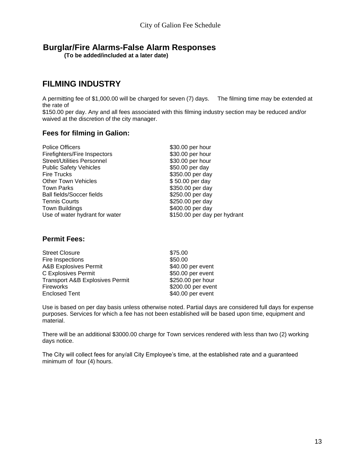# **Burglar/Fire Alarms-False Alarm Responses**

**(To be added/included at a later date)**

# **FILMING INDUSTRY**

A permitting fee of \$1,000.00 will be charged for seven (7) days. The filming time may be extended at the rate of

\$150.00 per day. Any and all fees associated with this filming industry section may be reduced and/or waived at the discretion of the city manager.

### **Fees for filming in Galion:**

| <b>Police Officers</b>            | \$30.00 per hour             |
|-----------------------------------|------------------------------|
| Firefighters/Fire Inspectors      | \$30.00 per hour             |
| <b>Street/Utilities Personnel</b> | \$30.00 per hour             |
| <b>Public Safety Vehicles</b>     | \$50.00 per day              |
| <b>Fire Trucks</b>                | \$350.00 per day             |
| <b>Other Town Vehicles</b>        | \$50.00 per day              |
| <b>Town Parks</b>                 | \$350.00 per day             |
| <b>Ball fields/Soccer fields</b>  | \$250.00 per day             |
| <b>Tennis Courts</b>              | \$250.00 per day             |
| <b>Town Buildings</b>             | \$400.00 per day             |
| Use of water hydrant for water    | \$150.00 per day per hydrant |
|                                   |                              |

## **Permit Fees:**

| \$75.00            |
|--------------------|
| \$50.00            |
| \$40.00 per event  |
| \$50.00 per event  |
| \$250.00 per hour  |
| \$200.00 per event |
| \$40.00 per event  |
|                    |

Use is based on per day basis unless otherwise noted. Partial days are considered full days for expense purposes. Services for which a fee has not been established will be based upon time, equipment and material.

There will be an additional \$3000.00 charge for Town services rendered with less than two (2) working days notice.

The City will collect fees for any/all City Employee's time, at the established rate and a guaranteed minimum of four (4) hours.